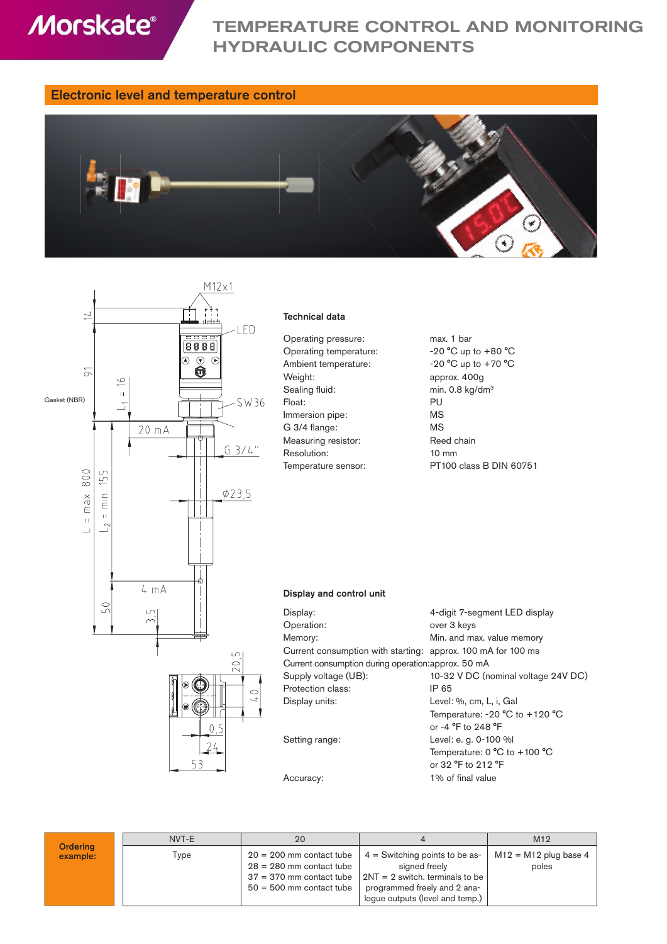**Morskate®** 

# TEMPERATURE CONTROL AND MONITORING HYDRAULIC COMPONENTS

## Electronic level and temperature control





#### Technical data

| Operating pressure:    | max. 1 bar              |
|------------------------|-------------------------|
| Operating temperature: | $-20$ °C up to $+80$ °C |
| Ambient temperature:   | $-20$ °C up to $+70$ °C |
| Weight:                | approx. 400g            |
| Sealing fluid:         | min. 0.8 $kg/dm3$       |
| Float:                 | PU                      |
| Immersion pipe:        | ΜS                      |
| G 3/4 flange:          | ΜS                      |
| Measuring resistor:    | Reed chain              |
| Resolution:            | $10 \text{ mm}$         |
| Temperature sensor:    | PT100 class B DIN 6     |

| max. 1 bar                  |
|-----------------------------|
| $-20$ °C up to $+80$ °C     |
| $-20$ °C up to $+70$ °C     |
| approx. 400g                |
| min. 0.8 kg/dm <sup>3</sup> |
| PU                          |
| ΜS                          |
| ΜS                          |
| Reed chain                  |
| $10 \text{ mm}$             |
| PT100 class B DIN 60751     |

### Display and control unit

| Display:                                                     | 4-digit 7-segment LED display                      |
|--------------------------------------------------------------|----------------------------------------------------|
| Operation:                                                   | over 3 keys                                        |
| Memory:                                                      | Min. and max. value memory                         |
| Current consumption with starting: approx. 100 mA for 100 ms |                                                    |
| Current consumption during operation: approx. 50 mA          |                                                    |
| Supply voltage (UB):                                         | 10-32 V DC (nominal voltage 24V DC)                |
| Protection class:                                            | IP 65                                              |
| Display units:                                               | Level: %, cm, L, i, Gal                            |
|                                                              | Temperature: -20 $^{\circ}$ C to +120 $^{\circ}$ C |
|                                                              | or -4 °F to 248 °F                                 |

 $.0^{\circ}$ C or -4 °F to 248 °F Setting range: Level: e.g. 0-100 % Temperature: 0 °C to +100 °C or 32 °F to 212 °F Accuracy: 1% of final value

|                             | NVT-E | 20                                                                                                                   |                                                                                                                                                           | M12                              |
|-----------------------------|-------|----------------------------------------------------------------------------------------------------------------------|-----------------------------------------------------------------------------------------------------------------------------------------------------------|----------------------------------|
| <b>Ordering</b><br>example: | Type  | $20 = 200$ mm contact tube<br>$28 = 280$ mm contact tube<br>$37 = 370$ mm contact tube<br>$50 = 500$ mm contact tube | $4 =$ Switching points to be as-<br>signed freely<br>$2NT = 2$ switch, terminals to be<br>programmed freely and 2 ana-<br>loque outputs (level and temp.) | $M12 = M12$ plug base 4<br>poles |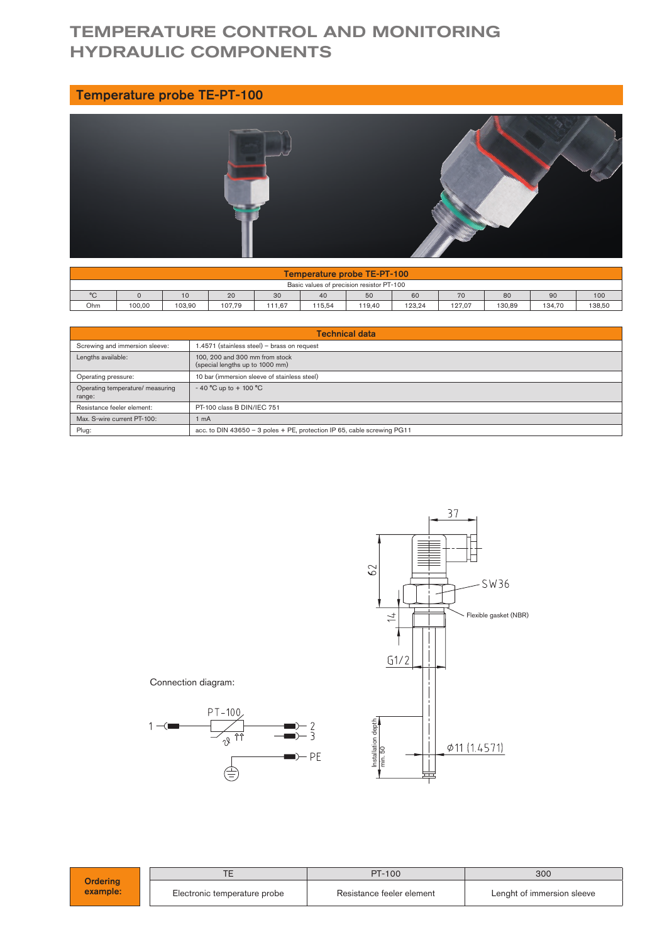# TEMPERATURE CONTROL AND MONITORING HYDRAULIC COMPONENTS

## Temperature probe TE-PT-100



|                                                                           | Temperature probe TE-PT-100 |        |        |        |        |        |        |        |        |        |        |
|---------------------------------------------------------------------------|-----------------------------|--------|--------|--------|--------|--------|--------|--------|--------|--------|--------|
| Basic values of precision resistor PT-100                                 |                             |        |        |        |        |        |        |        |        |        |        |
| $^{\circ}$ C<br>50<br>60<br>90<br>100<br>20<br>70<br>80<br>30<br>40<br>10 |                             |        |        |        |        |        |        |        |        |        |        |
| Ohm                                                                       | 100.00                      | 103.90 | 107.79 | 111.67 | 115.54 | 119.40 | 123.24 | 127.07 | 130.89 | 134.70 | 138.50 |

| <b>Technical data</b>                      |                                                                         |  |  |
|--------------------------------------------|-------------------------------------------------------------------------|--|--|
| Screwing and immersion sleeve:             | 1.4571 (stainless steel) - brass on request                             |  |  |
| Lengths available:                         | 100, 200 and 300 mm from stock<br>(special lengths up to 1000 mm)       |  |  |
| Operating pressure:                        | 10 bar (immersion sleeve of stainless steel)                            |  |  |
| Operating temperature/ measuring<br>range: | $-40$ °C up to $+100$ °C                                                |  |  |
| Resistance feeler element:                 | PT-100 class B DIN/IEC 751                                              |  |  |
| Max. S-wire current PT-100:                | 1 mA                                                                    |  |  |
| Plug:                                      | acc. to DIN 43650 - 3 poles + PE, protection IP 65, cable screwing PG11 |  |  |



| <b>Ordering</b><br>example: |                              | PT-100                    | 300<br>Lenght of immersion sleeve |  |  |
|-----------------------------|------------------------------|---------------------------|-----------------------------------|--|--|
|                             | Electronic temperature probe | Resistance feeler element |                                   |  |  |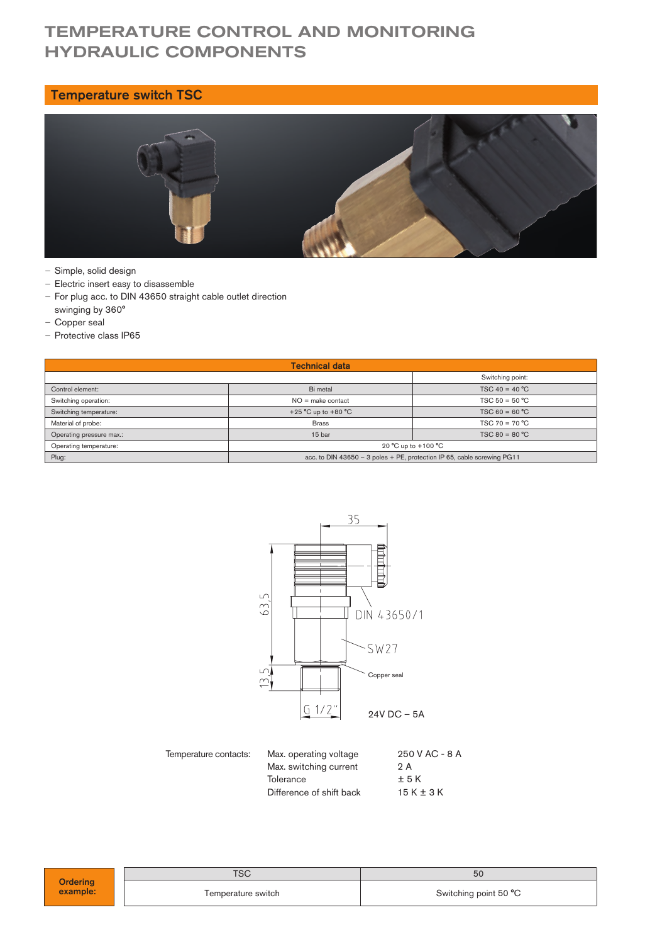# TEMPERATURE CONTROL AND MONITORING HYDRAULIC COMPONENTS

## Temperature switch TSC



- Simple, solid design
- Electric insert easy to disassemble
- For plug acc. to DIN 43650 straight cable outlet direction swinging by 360°
- Copper seal
- Protective class IP65

| <b>Technical data</b>                                             |                                                                         |                  |  |  |  |
|-------------------------------------------------------------------|-------------------------------------------------------------------------|------------------|--|--|--|
|                                                                   | Switching point:                                                        |                  |  |  |  |
| Control element:                                                  | Bi metal                                                                | $TSC 40 = 40 °C$ |  |  |  |
| Switching operation:                                              | $NO = make contact$                                                     | $TSC 50 = 50 °C$ |  |  |  |
| +25 $^{\circ}$ C up to +80 $^{\circ}$ C<br>Switching temperature: |                                                                         | $TSC 60 = 60 °C$ |  |  |  |
| Material of probe:                                                | <b>Brass</b>                                                            | $TSC 70 = 70 °C$ |  |  |  |
| Operating pressure max.:                                          | 15 bar                                                                  | $TSC 80 = 80 °C$ |  |  |  |
| Operating temperature:                                            | 20 °C up to +100 °C                                                     |                  |  |  |  |
| Plug:                                                             | acc. to DIN 43650 - 3 poles + PE, protection IP 65, cable screwing PG11 |                  |  |  |  |



Max. operating voltage 250 V AC - 8 A Max. switching current 2 A Tolerance  $\pm 5$  K<br>Difference of shift back  $15$  K  $\pm 3$  K Difference of shift back

| OC.                |                       |
|--------------------|-----------------------|
| Temperature switch | Switching point 50 °C |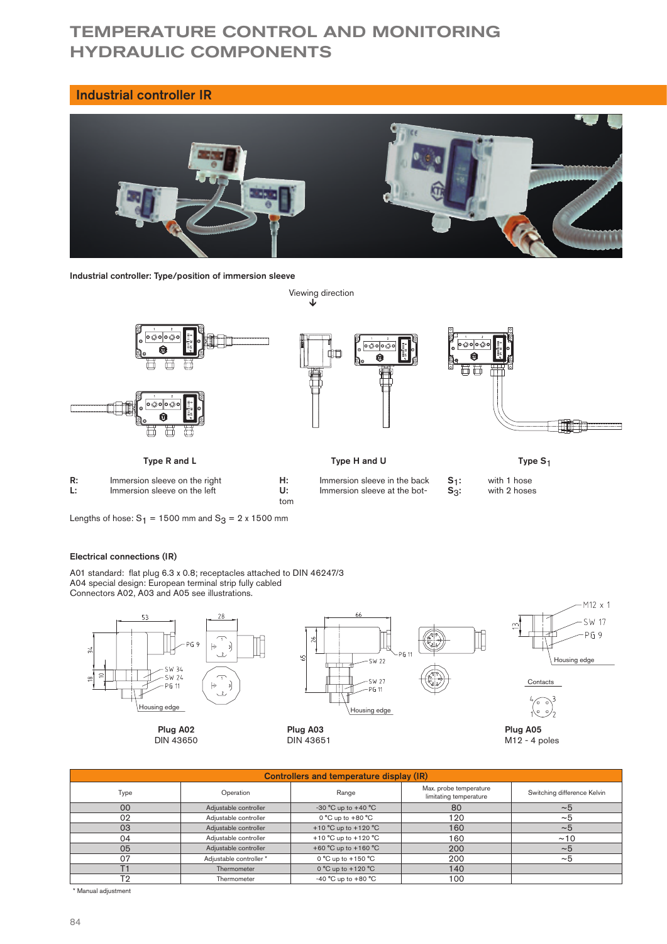# TEMPERATURE CONTROL AND MONITORING HYDRAULIC COMPONENTS

### Industrial controller IR



Industrial controller: Type/position of immersion sleeve



Lengths of hose:  $S_1 = 1500$  mm and  $S_3 = 2 \times 1500$  mm

#### Electrical connections (IR)

A01 standard: flat plug 6.3 x 0.8; receptacles attached to DIN 46247/3 A04 special design: European terminal strip fully cabled Connectors A02, A03 and A05 see illustrations.



Plug A02 DIN 43650



Plug A03 DIN 43651





Plug A05  $M12 - 4$  poles

| Controllers and temperature display (IR) |                         |                                          |                                                  |                             |  |  |
|------------------------------------------|-------------------------|------------------------------------------|--------------------------------------------------|-----------------------------|--|--|
| Type                                     | Operation               | Range                                    | Max. probe temperature<br>limitating temperature | Switching difference Kelvin |  |  |
| 00                                       | Adjustable controller   | $-30$ °C up to $+40$ °C                  | 80                                               | $~\sim$ 5                   |  |  |
| 02                                       | Adjustable controller   | $0^{\circ}$ C up to $+80^{\circ}$ C      | 120                                              | ~1                          |  |  |
| 03                                       | Adjustable controller   | +10 °C up to +120 °C                     | 160                                              | $~1$ –5                     |  |  |
| 04                                       | Adjustable controller   | +10 $^{\circ}$ C up to +120 $^{\circ}$ C | 160                                              | ~10                         |  |  |
| 05                                       | Adjustable controller   | +60 °C up to +160 °C                     | 200                                              | ~1                          |  |  |
| 07                                       | Adjustable controller * | $0^{\circ}$ C up to $+150^{\circ}$ C     | 200                                              | ~1                          |  |  |
|                                          | Thermometer             | $0^{\circ}$ C up to $+120^{\circ}$ C     | 140                                              |                             |  |  |
| T٧                                       | Thermometer             | -40 $^{\circ}$ C up to +80 $^{\circ}$ C  | 100                                              |                             |  |  |

\* Manual adjustment